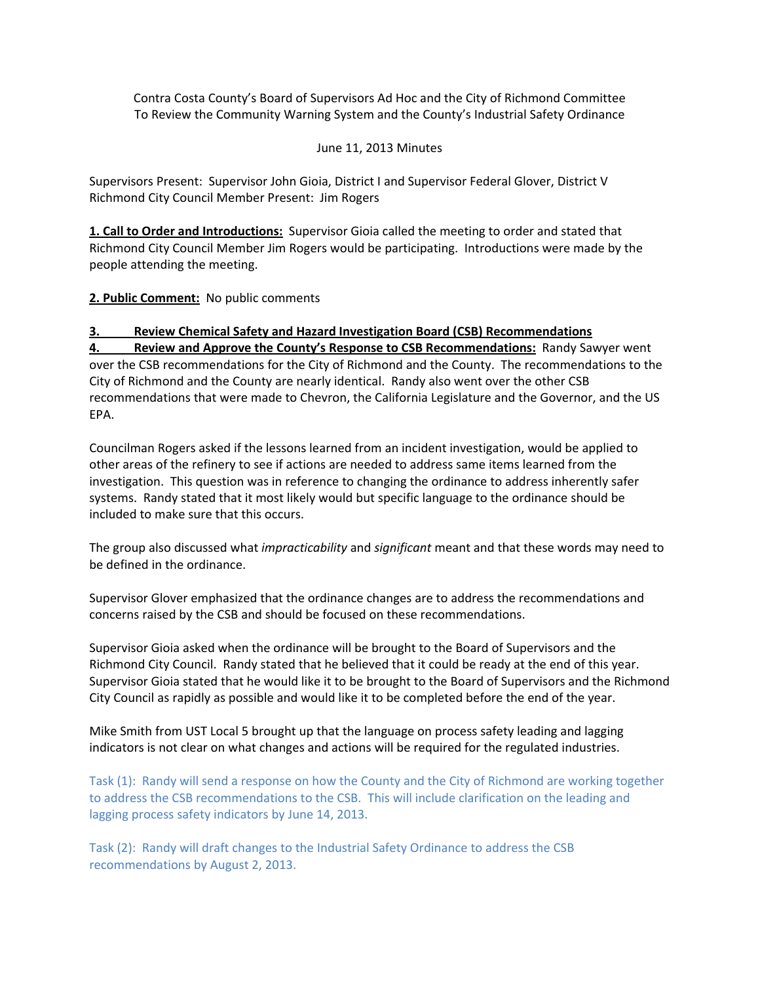Contra Costa County's Board of Supervisors Ad Hoc and the City of Richmond Committee To Review the Community Warning System and the County's Industrial Safety Ordinance

## June 11, 2013 Minutes

Supervisors Present: Supervisor John Gioia, District I and Supervisor Federal Glover, District V Richmond City Council Member Present: Jim Rogers

**1. Call to Order and Introductions:** Supervisor Gioia called the meeting to order and stated that Richmond City Council Member Jim Rogers would be participating. Introductions were made by the people attending the meeting.

## **2. Public Comment:** No public comments

## **3. Review Chemical Safety and Hazard Investigation Board (CSB) Recommendations**

**4. Review and Approve the County's Response to CSB Recommendations:** Randy Sawyer went over the CSB recommendations for the City of Richmond and the County. The recommendations to the City of Richmond and the County are nearly identical. Randy also went over the other CSB recommendations that were made to Chevron, the California Legislature and the Governor, and the US EPA.

Councilman Rogers asked if the lessons learned from an incident investigation, would be applied to other areas of the refinery to see if actions are needed to address same items learned from the investigation. This question was in reference to changing the ordinance to address inherently safer systems. Randy stated that it most likely would but specific language to the ordinance should be included to make sure that this occurs.

The group also discussed what *impracticability* and *significant* meant and that these words may need to be defined in the ordinance.

Supervisor Glover emphasized that the ordinance changes are to address the recommendations and concerns raised by the CSB and should be focused on these recommendations.

Supervisor Gioia asked when the ordinance will be brought to the Board of Supervisors and the Richmond City Council. Randy stated that he believed that it could be ready at the end of this year. Supervisor Gioia stated that he would like it to be brought to the Board of Supervisors and the Richmond City Council as rapidly as possible and would like it to be completed before the end of the year.

Mike Smith from UST Local 5 brought up that the language on process safety leading and lagging indicators is not clear on what changes and actions will be required for the regulated industries.

Task (1): Randy will send a response on how the County and the City of Richmond are working together to address the CSB recommendations to the CSB. This will include clarification on the leading and lagging process safety indicators by June 14, 2013.

Task (2): Randy will draft changes to the Industrial Safety Ordinance to address the CSB recommendations by August 2, 2013.